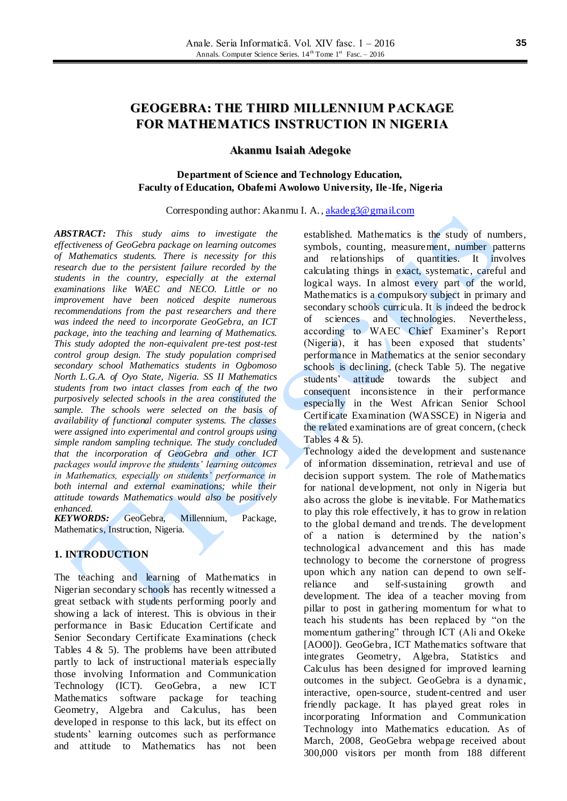# **GEOGEBRA: THE THIRD MILLENNIUM PACKAGE FOR MATHEMATICS INSTRUCTION IN NIGERIA**

### **Akanmu Isaiah Adegoke**

### **Department of Science and Technology Education, Faculty of Education, Obafemi Awolowo University, Ile -Ife, Nigeria**

#### Corresponding author: Akanmu I. A.[, akadeg3@gmail.com](mailto:akadeg3@gmail.com)

*ABSTRACT: This study aims to investigate the effectiveness of GeoGebra package on learning outcomes of Mathematics students. There is necessity for this research due to the persistent failure recorded by the students in the country, especially at the external examinations like WAEC and NECO. Little or no improvement have been noticed despite numerous recommendations from the past researchers and there was indeed the need to incorporate GeoGebra, an ICT package, into the teaching and learning of Mathematics. This study adopted the non-equivalent pre-test post-test control group design. The study population comprised secondary school Mathematics students in Ogbomoso North L.G.A. of Oyo State, Nigeria. SS II Mathematics students from two intact classes from each of the two purposively selected schools in the area constituted the sample. The schools were selected on the basis of availability of functional computer systems. The classes were assigned into experimental and control groups using simple random sampling technique. The study concluded that the incorporation of GeoGebra and other ICT packages would improve the students' learning outcomes in Mathematics, especially on students' performance in both internal and external examinations; while their attitude towards Mathematics would also be positively enhanced.*

*KEYWORDS:* GeoGebra, Millennium, Package, Mathematics, Instruction, Nigeria.

### **1. INTRODUCTION**

The teaching and learning of Mathematics in Nigerian secondary schools has recently witnessed a great setback with students performing poorly and showing a lack of interest. This is obvious in their performance in Basic Education Certificate and Senior Secondary Certificate Examinations (check Tables  $4 \& 5$ ). The problems have been attributed partly to lack of instructional materials especially those involving Information and Communication Technology (ICT). GeoGebra, a new ICT Mathematics software package for teaching Geometry, Algebra and Calculus, has been developed in response to this lack, but its effect on students' learning outcomes such as performance and attitude to Mathematics has not been

established. Mathematics is the study of numbers, symbols, counting, measurement, number patterns and relationships of quantities. It involves calculating things in exact, systematic, careful and logical ways. In almost every part of the world, Mathematics is a compulsory subject in primary and secondary schools curricula. It is indeed the bedrock of sciences and technologies. Nevertheless, according to WAEC Chief Examiner's Report (Nigeria), it has been exposed that students' performance in Mathematics at the senior secondary schools is declining, (check Table 5). The negative students' attitude towards the subject and consequent inconsistence in their performance especially in the West African Senior School Certificate Examination (WASSCE) in Nigeria and the related examinations are of great concern, (check Tables 4 & 5).

Technology aided the development and sustenance of information dissemination, retrieval and use of decision support system. The role of Mathematics for national development, not only in Nigeria but also across the globe is inevitable. For Mathematics to play this role effectively, it has to grow in relation to the global demand and trends. The development of a nation is determined by the nation's technological advancement and this has made technology to become the cornerstone of progress upon which any nation can depend to own selfreliance and self-sustaining growth and development. The idea of a teacher moving from pillar to post in gathering momentum for what to teach his students has been replaced by "on the momentum gathering" through ICT (Ali and Okeke [AO00]). GeoGebra, ICT Mathematics software that integrates Geometry, Algebra, Statistics and Calculus has been designed for improved learning outcomes in the subject. GeoGebra is a dynamic, interactive, open-source, student-centred and user friendly package. It has played great roles in incorporating Information and Communication Technology into Mathematics education. As of March, 2008, GeoGebra webpage received about 300,000 visitors per month from 188 different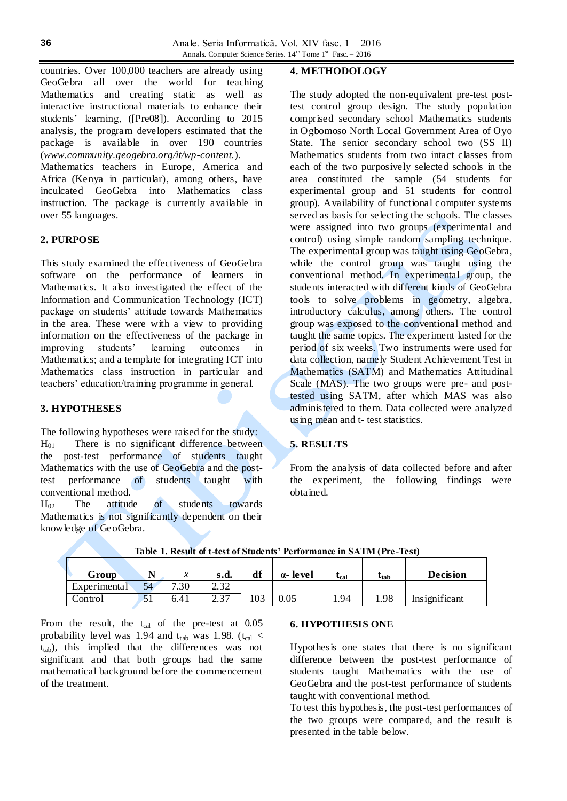countries. Over 100,000 teachers are already using GeoGebra all over the world for teaching Mathematics and creating static as well as interactive instructional materials to enhance their students' learning, ([Pre08]). According to 2015 analysis, the program developers estimated that the package is available in over 190 countries (*[www.community.geogebra.org/it/wp-content.](http://www.community.geogebra.org/it/wp-content)*).

Mathematics teachers in Europe, America and Africa (Kenya in particular), among others, have inculcated GeoGebra into Mathematics class instruction. The package is currently available in over 55 languages.

### **2. PURPOSE**

This study examined the effectiveness of GeoGebra software on the performance of learners in Mathematics. It also investigated the effect of the Information and Communication Technology (ICT) package on students' attitude towards Mathematics in the area. These were with a view to providing information on the effectiveness of the package in improving students' learning outcomes in Mathematics; and a template for integrating ICT into Mathematics class instruction in particular and teachers' education/training programme in general.

#### **3. HYPOTHESES**

The following hypotheses were raised for the study:  $H<sub>01</sub>$  There is no significant difference between the post-test performance of students taught Mathematics with the use of GeoGebra and the posttest performance of students taught with conventional method.

 $H_{02}$  The attitude of students towards Mathematics is not significantly dependent on their knowledge of GeoGebra.

### **4. METHODOLOGY**

The study adopted the non-equivalent pre-test posttest control group design. The study population comprised secondary school Mathematics students in Ogbomoso North Local Government Area of Oyo State. The senior secondary school two (SS II) Mathematics students from two intact classes from each of the two purposively selected schools in the area constituted the sample (54 students for experimental group and 51 students for control group). Availability of functional computer systems served as basis for selecting the schools. The classes were assigned into two groups (experimental and control) using simple random sampling technique. The experimental group was taught using GeoGebra, while the control group was taught using the conventional method. In experimental group, the students interacted with different kinds of GeoGebra tools to solve problems in geometry, algebra, introductory calculus, among others. The control group was exposed to the conventional method and taught the same topics. The experiment lasted for the period of six weeks. Two instruments were used for data collection, namely Student Achievement Test in Mathematics (SATM) and Mathematics Attitudinal Scale (MAS). The two groups were pre- and posttested using SATM, after which MAS was also administered to them. Data collected were analyzed using mean and t- test statistics.

## **5. RESULTS**

From the analysis of data collected before and after the experiment, the following findings were obtained.

| Group        | $\mathbf{A}$                 | -<br>$\mathbf{r}$<br>∼ | s.d.        | df  | a-level  | tcal | $\iota_{\text{tab}}$ | <b>Decision</b> |
|--------------|------------------------------|------------------------|-------------|-----|----------|------|----------------------|-----------------|
| Experimental | 54                           | '.30                   | 22<br>ے د.ء |     |          |      |                      |                 |
| Control      | $\epsilon$ <sub>1</sub><br>◡ | 6.41                   | 27<br>، ب   | 103 | $0.05\,$ | 1.94 | 1.98                 | Insignificant   |

**Table 1. Result of t-test of Students' Performance in SATM (Pre-Test)**

From the result, the  $t_{cal}$  of the pre-test at 0.05 probability level was 1.94 and  $t_{tab}$  was 1.98. ( $t_{cal}$  < t<sub>tab</sub>), this implied that the differences was not significant and that both groups had the same mathematical background before the commencement of the treatment.

#### **6. HYPOTHESIS ONE**

Hypothesis one states that there is no significant difference between the post-test performance of students taught Mathematics with the use of GeoGebra and the post-test performance of students taught with conventional method.

To test this hypothesis, the post-test performances of the two groups were compared, and the result is presented in the table below.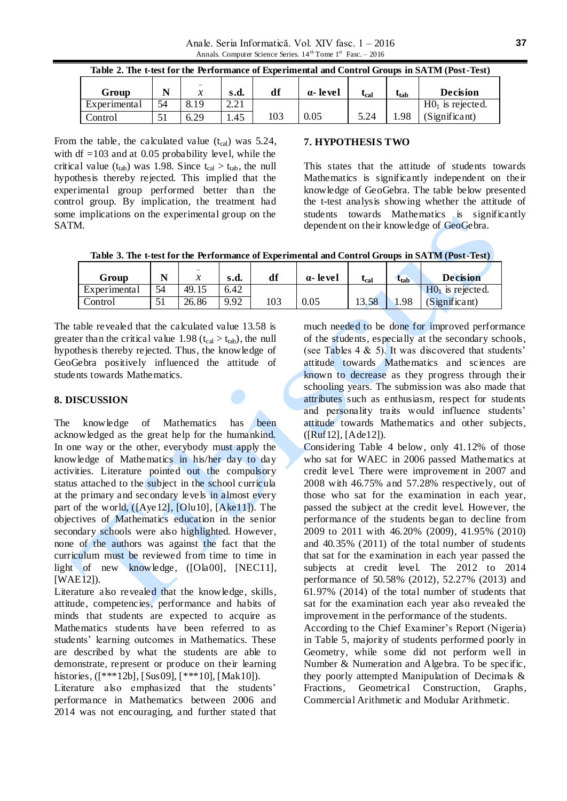| Table 2. The t-test for the Performance of Experimental and Control Groups in SATM (Post-Test) |    |      |      |     |                 |           |                  |                    |
|------------------------------------------------------------------------------------------------|----|------|------|-----|-----------------|-----------|------------------|--------------------|
| Group                                                                                          |    |      | s.d. | df  | $\alpha$ -level | $t_{cal}$ | t <sub>tab</sub> | <b>Decision</b>    |
| Experimental                                                                                   | 54 | 8.19 | 2.21 |     |                 |           |                  | $H01$ is rejected. |
| Control                                                                                        | 51 | 6.29 | 1.45 | 103 | 0.05            | 5.24      | 1.98             | (Significant)      |

From the table, the calculated value  $(t_{cal})$  was 5.24, with df  $=103$  and at 0.05 probability level, while the critical value ( $t_{tab}$ ) was 1.98. Since  $t_{cal} > t_{tab}$ , the null hypothesis thereby rejected. This implied that the experimental group performed better than the control group. By implication, the treatment had some implications on the experimental group on the **SATM** 

### **7. HYPOTHESIS TWO**

This states that the attitude of students towards Mathematics is significantly independent on their knowledge of GeoGebra. The table below presented the t-test analysis showing whether the attitude of students towards Mathematics is significantly dependent on their knowledge of GeoGebra.

**Table 3. The t-test for the Performance of Experimental and Control Groups in SATM (Post-Test)**

| Group        | N  | -<br>ne.<br>∼ | s.d. | df  | a-level | $\iota_{\mathrm{cal}}$ | $\tau_{\rm tab}$ | <b>Decision</b>    |
|--------------|----|---------------|------|-----|---------|------------------------|------------------|--------------------|
| Experimental | 54 | 49.15         | 6.42 |     |         |                        |                  | $H01$ is rejected. |
| Control      | 51 | 26.86         | 9.92 | 103 | 0.05    | 13.58                  | 1.98             | (Significant)      |

The table revealed that the calculated value 13.58 is greater than the critical value 1.98 ( $t_{cal} > t_{tab}$ ), the null hypothesis thereby rejected. Thus, the knowledge of GeoGebra positively influenced the attitude of students towards Mathematics.

### **8. DISCUSSION**

The knowledge of Mathematics has been acknowledged as the great help for the humankind. In one way or the other, everybody must apply the knowledge of Mathematics in his/her day to day activities. Literature pointed out the compulsory status attached to the subject in the school curricula at the primary and secondary levels in almost every part of the world, ([Aye12], [Olu10], [Ake11]). The objectives of Mathematics education in the senior secondary schools were also highlighted. However, none of the authors was against the fact that the curriculum must be reviewed from time to time in light of new knowledge, ([Ola00], [NEC11], [WAE12]).

Literature also revealed that the knowledge, skills, attitude, competencies, performance and habits of minds that students are expected to acquire as Mathematics students have been referred to as students' learning outcomes in Mathematics. These are described by what the students are able to demonstrate, represent or produce on their learning histories, ([\*\*\*12b], [Sus09], [\*\*\*10], [Mak10]).

Literature also emphasized that the students' performance in Mathematics between 2006 and 2014 was not encouraging, and further stated that

much needed to be done for improved performance of the students, especially at the secondary schools, (see Tables 4  $\&$  5). It was discovered that students' attitude towards Mathematics and sciences are known to decrease as they progress through their schooling years. The submission was also made that attributes such as enthusiasm, respect for students and personality traits would influence students' attitude towards Mathematics and other subjects, ([Ruf12], [Ade12]).

Considering Table 4 below, only 41.12% of those who sat for WAEC in 2006 passed Mathematics at credit level. There were improvement in 2007 and 2008 with 46.75% and 57.28% respectively, out of those who sat for the examination in each year, passed the subject at the credit level. However, the performance of the students began to decline from 2009 to 2011 with 46.20% (2009), 41.95% (2010) and 40.35% (2011) of the total number of students that sat for the examination in each year passed the subjects at credit level. The 2012 to 2014 performance of 50.58% (2012), 52.27% (2013) and 61.97% (2014) of the total number of students that sat for the examination each year also revealed the improvement in the performance of the students.

According to the Chief Examiner's Report (Nigeria) in Table 5, majority of students performed poorly in Geometry, while some did not perform well in Number & Numeration and Algebra. To be specific, they poorly attempted Manipulation of Decimals & Fractions, Geometrical Construction, Graphs, Commercial Arithmetic and Modular Arithmetic.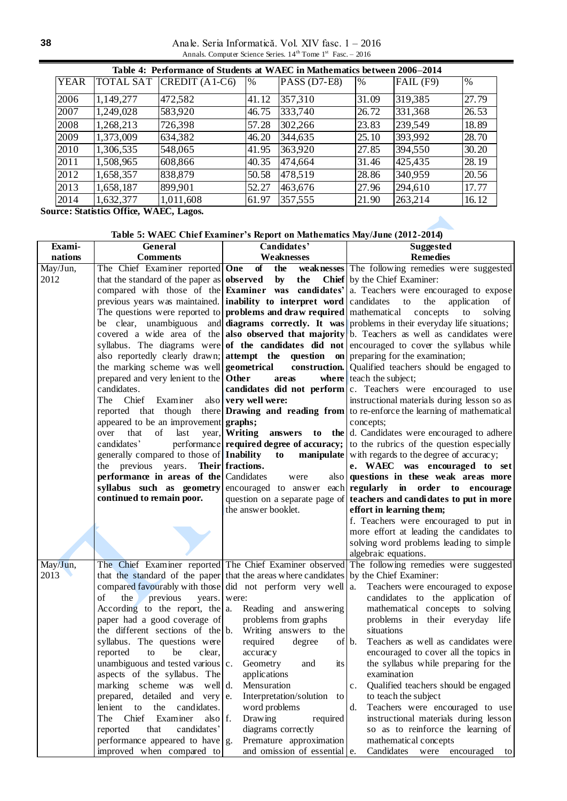Anale. Seria Informatică. Vol. XIV fasc. 1 – 2016 Annals. Computer Science Series.  $14<sup>th</sup>$  Tome  $1<sup>st</sup>$  Fasc. - 2016

|             | Table 4: Performance of Students at WAEC in Mathematics between 2006–2014 |                 |       |                |       |               |       |  |  |  |
|-------------|---------------------------------------------------------------------------|-----------------|-------|----------------|-------|---------------|-------|--|--|--|
| <b>YEAR</b> | <b>TOTAL SAT</b>                                                          | $CREDIT(A1-C6)$ | $\%$  | $PASS (D7-E8)$ | $\%$  | $FAIL$ $(F9)$ | %     |  |  |  |
| 2006        | 1,149,277                                                                 | 472,582         | 41.12 | 357,310        | 31.09 | 319,385       | 27.79 |  |  |  |
| 2007        | 1,249,028                                                                 | 583,920         | 46.75 | 333,740        | 26.72 | 331,368       | 26.53 |  |  |  |
| 2008        | 1,268,213                                                                 | 726,398         | 57.28 | 302,266        | 23.83 | 239,549       | 18.89 |  |  |  |
| 2009        | 1,373,009                                                                 | 634,382         | 46.20 | 344,635        | 25.10 | 393,992       | 28.70 |  |  |  |
| 2010        | 1,306,535                                                                 | 548,065         | 41.95 | 363,920        | 27.85 | 394,550       | 30.20 |  |  |  |
| 2011        | 1,508,965                                                                 | 608,866         | 40.35 | 474,664        | 31.46 | 425,435       | 28.19 |  |  |  |
| 2012        | 1,658,357                                                                 | 838,879         | 50.58 | 478,519        | 28.86 | 340,959       | 20.56 |  |  |  |
| 2013        | 1,658,187                                                                 | 899,901         | 52.27 | 463,676        | 27.96 | 294,610       | 17.77 |  |  |  |
| 2014        | 1,632,377                                                                 | 1,011,608       | 61.97 | 357,555        | 21.90 | 263,214       | 16.12 |  |  |  |

**Source: Statistics Office, WAEC, Lagos.**

## **Table 5: WAEC Chief Examiner's Report on Mathematics May/June (2012-2014)**

| Exami-   | General                                                                                             | Candidates'                         | <b>Suggested</b>                                                                                         |  |  |
|----------|-----------------------------------------------------------------------------------------------------|-------------------------------------|----------------------------------------------------------------------------------------------------------|--|--|
| nations  | <b>Comments</b>                                                                                     | Weaknesses                          | <b>Remedies</b>                                                                                          |  |  |
| May/Jun, | The Chief Examiner reported One                                                                     | of<br>the                           | weaknesses The following remedies were suggested                                                         |  |  |
| 2012     | that the standard of the paper as observed                                                          | $\mathbf{by}$<br>the                | <b>Chief</b> by the Chief Examiner:                                                                      |  |  |
|          |                                                                                                     |                                     | compared with those of the <b>Examiner</b> was candidates' $\alpha$ . Teachers were encouraged to expose |  |  |
|          | previous years was maintained. inability to interpret word candidates                               |                                     | to<br>the<br>application<br>of                                                                           |  |  |
|          | The questions were reported to <b>problems and draw required</b> mathematical                       |                                     | concepts<br>solving<br>to                                                                                |  |  |
|          |                                                                                                     |                                     | be clear, unambiguous and diagrams correctly. It was problems in their everyday life situations;         |  |  |
|          |                                                                                                     |                                     | covered a wide area of the also observed that majority b. Teachers as well as candidates were            |  |  |
|          |                                                                                                     |                                     | syllabus. The diagrams were of the candidates did not encouraged to cover the syllabus while             |  |  |
|          | also reportedly clearly drawn; <b>attempt</b> the <b>question</b> on preparing for the examination; |                                     |                                                                                                          |  |  |
|          | the marking scheme was well <b>geometrical</b>                                                      |                                     | <b>construction.</b> Qualified teachers should be engaged to                                             |  |  |
|          | prepared and very lenient to the <b>Other</b>                                                       | areas                               | $where$ teach the subject;                                                                               |  |  |
|          | candidates.                                                                                         |                                     | candidates did not perform $ c $ . Teachers were encouraged to use                                       |  |  |
|          | Examiner<br>The Chief                                                                               | also $ very$ well were:             | instructional materials during lesson so as                                                              |  |  |
|          |                                                                                                     |                                     | reported that though there <b>Drawing and reading from</b> to re-enforce the learning of mathematical    |  |  |
|          | appeared to be an improvement graphs;                                                               |                                     | concepts;                                                                                                |  |  |
|          | last<br>that<br>of<br>over                                                                          | year, Writing                       | <b>answers</b> to the $\vert$ d. Candidates were encouraged to adhere                                    |  |  |
|          | candidates'                                                                                         |                                     | performance required degree of accuracy; to the rubrics of the question especially                       |  |  |
|          | generally compared to those of <b>Inability</b> to                                                  |                                     | <b>manipulate</b> with regards to the degree of accuracy;                                                |  |  |
|          | the previous years.                                                                                 | Their fractions.                    | e. WAEC was encouraged to set                                                                            |  |  |
|          | performance in areas of the Candidates                                                              | were                                | also questions in these weak areas more                                                                  |  |  |
|          | syllabus such as geometry                                                                           |                                     | encouraged to answer each regularly in order to encourage                                                |  |  |
|          | continued to remain poor.                                                                           |                                     | question on a separate page of <b>teachers and candidates to put in more</b>                             |  |  |
|          |                                                                                                     | the answer booklet.                 | effort in learning them;                                                                                 |  |  |
|          |                                                                                                     |                                     | f. Teachers were encouraged to put in                                                                    |  |  |
|          |                                                                                                     |                                     | more effort at leading the candidates to                                                                 |  |  |
|          |                                                                                                     |                                     | solving word problems leading to simple                                                                  |  |  |
|          |                                                                                                     |                                     | algebraic equations.                                                                                     |  |  |
| May/Jun, |                                                                                                     |                                     | The Chief Examiner reported The Chief Examiner observed The following remedies were suggested            |  |  |
| 2013     | that the standard of the paper that the areas where candidates by the Chief Examiner:               |                                     |                                                                                                          |  |  |
|          | compared favourably with those did not perform very well $ a$ .                                     |                                     | Teachers were encouraged to expose                                                                       |  |  |
|          | of<br>the<br>previous                                                                               | years. were:                        | candidates to the application of                                                                         |  |  |
|          | According to the report, the $ a $ . Reading and answering<br>paper had a good coverage of          | problems from graphs                | mathematical concepts to solving                                                                         |  |  |
|          | the different sections of the b. Writing answers to the                                             |                                     | problems in their everyday life<br>situations                                                            |  |  |
|          | syllabus. The questions were                                                                        | required<br>degree                  | Teachers as well as candidates were<br>of $\mathfrak b$ .                                                |  |  |
|          | clear,<br>reported<br>be<br>to                                                                      | accuracy                            | encouraged to cover all the topics in                                                                    |  |  |
|          | unambiguous and tested various c. Geometry                                                          | and<br>its                          | the syllabus while preparing for the                                                                     |  |  |
|          | aspects of the syllabus. The                                                                        | applications                        | examination                                                                                              |  |  |
|          | marking scheme was<br>well d.                                                                       | Mensuration                         | Qualified teachers should be engaged<br>c.                                                               |  |  |
|          | prepared, detailed and very                                                                         | Interpretation/solution<br>e.<br>to | to teach the subject                                                                                     |  |  |
|          | lenient to the candidates.                                                                          | word problems                       | Teachers were encouraged to use<br>d.                                                                    |  |  |
|          | The Chief<br>Examiner<br>also f.                                                                    | Drawing<br>required                 | instructional materials during lesson                                                                    |  |  |
|          | that<br>reported<br>candidates'                                                                     | diagrams correctly                  | so as to reinforce the learning of                                                                       |  |  |
|          | performance appeared to have $g$ .                                                                  | Premature approximation             | mathematical concepts                                                                                    |  |  |
|          | improved when compared to                                                                           | and omission of essential e.        | Candidates were encouraged<br>to                                                                         |  |  |
|          |                                                                                                     |                                     |                                                                                                          |  |  |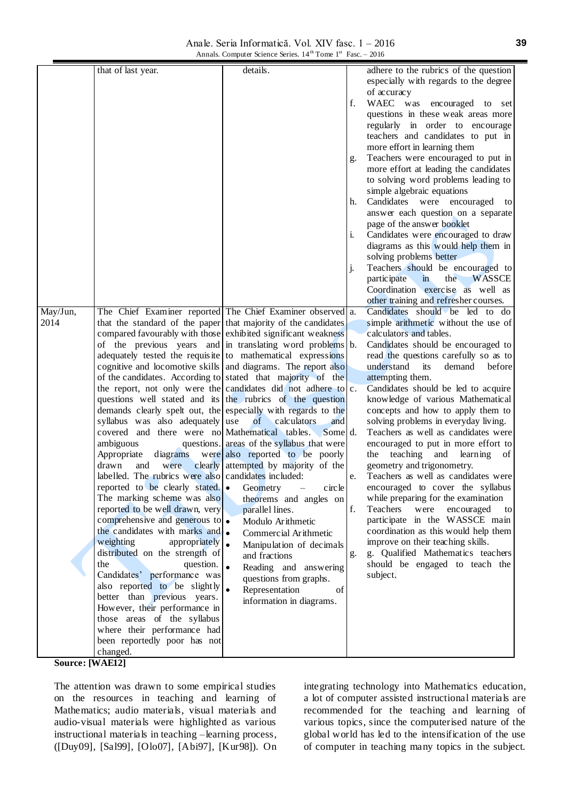Anale. Seria Informatică. Vol. XIV fasc. 1 – 2016 Annals. Computer Science Series. 14<sup>th</sup> Tome 1<sup>st</sup> Fasc. – 2016

|                 | that of last year.                                               | details.                                   |    | adhere to the rubrics of the question               |
|-----------------|------------------------------------------------------------------|--------------------------------------------|----|-----------------------------------------------------|
|                 |                                                                  |                                            |    |                                                     |
|                 |                                                                  |                                            |    | especially with regards to the degree               |
|                 |                                                                  |                                            |    | of accuracy                                         |
|                 |                                                                  |                                            | f. | WAEC was encouraged to set                          |
|                 |                                                                  |                                            |    | questions in these weak areas more                  |
|                 |                                                                  |                                            |    | regularly in order to encourage                     |
|                 |                                                                  |                                            |    | teachers and candidates to put in                   |
|                 |                                                                  |                                            |    | more effort in learning them                        |
|                 |                                                                  |                                            | g. | Teachers were encouraged to put in                  |
|                 |                                                                  |                                            |    | more effort at leading the candidates               |
|                 |                                                                  |                                            |    | to solving word problems leading to                 |
|                 |                                                                  |                                            |    | simple algebraic equations                          |
|                 |                                                                  |                                            | h. | Candidates were encouraged<br>to                    |
|                 |                                                                  |                                            |    | answer each question on a separate                  |
|                 |                                                                  |                                            |    | page of the answer booklet                          |
|                 |                                                                  |                                            | i. | Candidates were encouraged to draw                  |
|                 |                                                                  |                                            |    | diagrams as this would help them in                 |
|                 |                                                                  |                                            |    | solving problems better                             |
|                 |                                                                  |                                            | j. | Teachers should be encouraged to                    |
|                 |                                                                  |                                            |    | participate<br>the<br><b>WASSCE</b><br>$\mathbf{m}$ |
|                 |                                                                  |                                            |    | Coordination exercise as well as                    |
|                 |                                                                  |                                            |    | other training and refresher courses.               |
| May/Jun,        | The Chief Examiner reported The Chief Examiner observed a.       |                                            |    | Candidates should be led to do                      |
| 2014            | that the standard of the paper that majority of the candidates   |                                            |    | simple arithmetic without the use of                |
|                 | compared favourably with those exhibited significant weakness    |                                            |    | calculators and tables.                             |
|                 | of the previous years and in translating word problems b.        |                                            |    | Candidates should be encouraged to                  |
|                 | adequately tested the requisite to mathematical expressions      |                                            |    | read the questions carefully so as to               |
|                 | cognitive and locomotive skills and diagrams. The report also    |                                            |    | understand<br>demand<br>before<br>its               |
|                 | of the candidates. According to stated that majority of the      |                                            |    | attempting them.                                    |
|                 |                                                                  |                                            |    |                                                     |
|                 | the report, not only were the candidates did not adhere to $c$ . |                                            |    | Candidates should be led to acquire                 |
|                 | questions well stated and its the rubrics of the question        |                                            |    | knowledge of various Mathematical                   |
|                 | demands clearly spelt out, the especially with regards to the    |                                            |    | concepts and how to apply them to                   |
|                 | syllabus was also adequately use                                 | of<br>calculators<br>and                   |    | solving problems in everyday living.                |
|                 | covered and there were no Mathematical tables. Some d.           |                                            |    | Teachers as well as candidates were                 |
|                 | ambiguous                                                        | questions. areas of the syllabus that were |    | encouraged to put in more effort to                 |
|                 | Appropriate<br>diagrams                                          | were also reported to be poorly            |    | teaching and<br>learning of<br>the                  |
|                 | drawn<br>were<br>and                                             | clearly attempted by majority of the       |    | geometry and trigonometry.                          |
|                 | labelled. The rubrics were also candidates included:             |                                            | e. | Teachers as well as candidates were                 |
|                 | reported to be clearly stated.<br><b>•</b> Geometry              | circle<br>$\qquad \qquad -$                |    | encouraged to cover the syllabus                    |
|                 | The marking scheme was also                                      | theorems and angles on                     |    | while preparing for the examination                 |
|                 | reported to be well drawn, very                                  | parallel lines.                            | f. | Teachers<br>encouraged<br>were<br>to                |
|                 | comprehensive and generous to •                                  | Modulo Arithmetic                          |    | participate in the WASSCE main                      |
|                 | the candidates with marks and •                                  | Commercial Arithmetic                      |    | coordination as this would help them                |
|                 | weighting<br>appropriately                                       | Manipulation of decimals                   |    | improve on their teaching skills.                   |
|                 | distributed on the strength of                                   | and fractions                              | g. | g. Qualified Mathematics teachers                   |
|                 | the<br>question.                                                 | Reading and answering                      |    | should be engaged to teach the                      |
|                 | Candidates' performance was                                      | questions from graphs.                     |    | subject.                                            |
|                 | also reported to be slightly                                     | Representation<br>of                       |    |                                                     |
|                 | better than previous years.                                      | information in diagrams.                   |    |                                                     |
|                 | However, their performance in                                    |                                            |    |                                                     |
|                 | those areas of the syllabus                                      |                                            |    |                                                     |
|                 | where their performance had                                      |                                            |    |                                                     |
|                 | been reportedly poor has not                                     |                                            |    |                                                     |
|                 | changed.                                                         |                                            |    |                                                     |
| Source: [WAE12] |                                                                  |                                            |    |                                                     |

The attention was drawn to some empirical studies on the resources in teaching and learning of Mathematics; audio materials, visual materials and audio-visual materials were highlighted as various instructional materials in teaching –learning process, ([Duy09], [Sal99], [Olo07], [Abi97], [Kur98]). On integrating technology into Mathematics education, a lot of computer assisted instructional materials are recommended for the teaching and learning of various topics, since the computerised nature of the global world has led to the intensification of the use of computer in teaching many topics in the subject.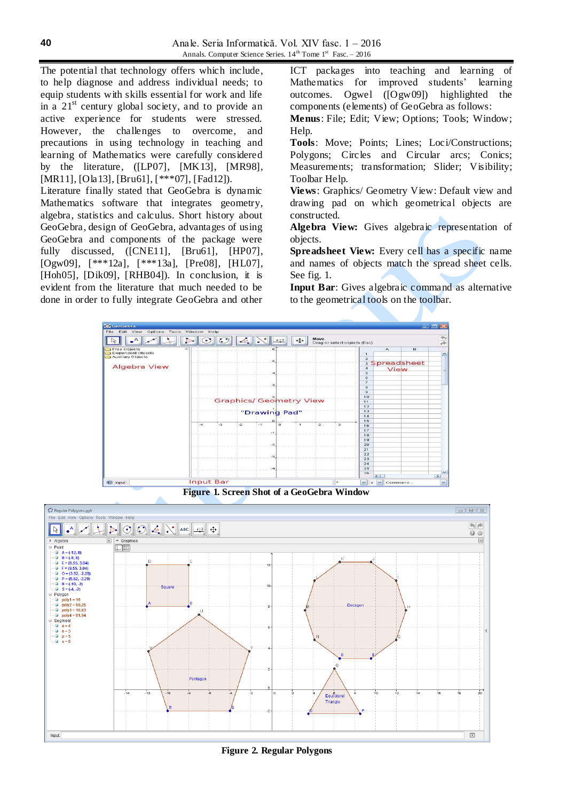The potential that technology offers which include, to help diagnose and address individual needs; to equip students with skills essential for work and life in a  $21<sup>st</sup>$  century global society, and to provide an active experience for students were stressed. However, the challenges to overcome, and precautions in using technology in teaching and learning of Mathematics were carefully considered by the literature, ([LP07], [MK13], [MR98], [MR11], [Ola13], [Bru61], [\*\*\*07], [Fad12]).

Literature finally stated that GeoGebra is dynamic Mathematics software that integrates geometry, algebra, statistics and calculus. Short history about GeoGebra, design of GeoGebra, advantages of using GeoGebra and components of the package were fully discussed, ([CNE11], [Bru61], [HP07], [Ogw09], [\*\*\*12a], [\*\*\*13a], [Pre08], [HL07], [Hoh05], [Dik09], [RHB04]). In conclusion, it is evident from the literature that much needed to be done in order to fully integrate GeoGebra and other

ICT packages into teaching and learning of Mathematics for improved students' learning outcomes. Ogwel ([Ogw09]) highlighted the components (elements) of GeoGebra as follows:

**Menus**: File; Edit; View; Options; Tools; Window; Help.

**Tools**: Move; Points; Lines; Loci/Constructions; Polygons; Circles and Circular arcs; Conics; Measurements; transformation; Slider; Visibility; Toolbar Help.

**Views**: Graphics/ Geometry View: Default view and drawing pad on which geometrical objects are constructed.

**Algebra View:** Gives algebraic representation of objects.

**Spreadsheet View:** Every cell has a specific name and names of objects match the spread sheet cells. See fig. 1.

**Input Bar**: Gives algebraic command as alternative to the geometrical tools on the toolbar.



**Figure 1. Screen Shot of a GeoGebra Window**



**Figure 2. Regular Polygons**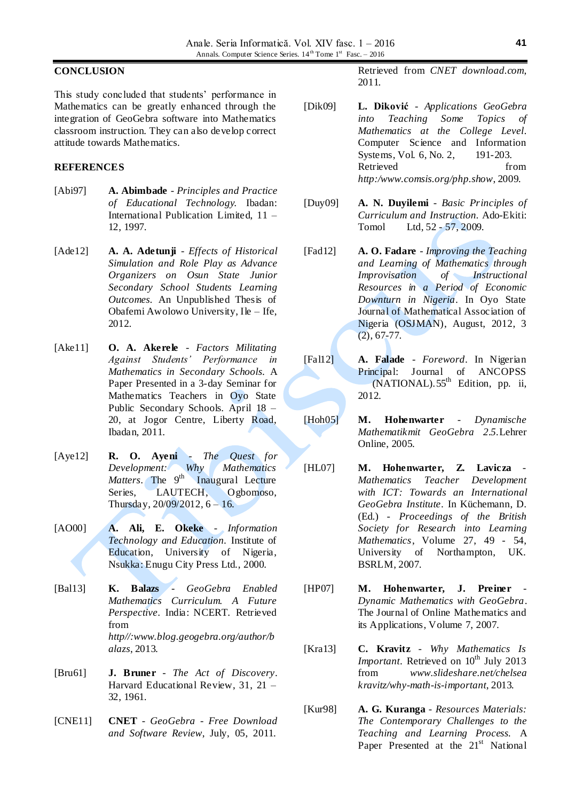### **CONCLUSION**

This study concluded that students' performance in Mathematics can be greatly enhanced through the integration of GeoGebra software into Mathematics classroom instruction. They can also develop correct attitude towards Mathematics.

### **REFERENCES**

- [Abi97] **A. Abimbade** *Principles and Practice of Educational Technology.* Ibadan: International Publication Limited, 11 – 12, 1997.
- [Ade12] **A. A. Adetunji** *Effects of Historical Simulation and Role Play as Advance Organizers on Osun State Junior Secondary School Students Learning Outcomes.* An Unpublished Thesis of Obafemi Awolowo University, Ile – Ife, 2012.
- [Ake11] **O. A. Akerele** *Factors Militating Against Students' Performance in Mathematics in Secondary Schools.* A Paper Presented in a 3-day Seminar for Mathematics Teachers in Oyo State Public Secondary Schools. April 18 – 20, at Jogor Centre, Liberty Road, Ibadan, 2011.
- [Aye12] **R. O. Ayeni** *The Quest for Development: Why Mathematics Matters*. The 9<sup>th</sup> Inaugural Lecture Series, LAUTECH, Ogbomoso, Thursday, 20/09/2012, 6 – 16.
- [AO00] **A. Ali, E. Okeke** *Information Technology and Education.* Institute of Education, University of Nigeria, Nsukka: Enugu City Press Ltd., 2000.
- [Bal13] **K. Balazs** *GeoGebra Enabled Mathematics Curriculum. A Future Perspective*. India: NCERT. Retrieved from *http//:www.blog.geogebra.org/author/b alazs*, 2013*.*
- [Bru61] **J. Bruner** *The Act of Discovery*. Harvard Educational Review, 31, 21 – 32, 1961.
- [CNE11] **CNET** *GeoGebra - Free Download and Software Review*, July, 05, 2011.

Retrieved from *CNET download.com*, 2011*.*

- [Dik09] **L. Diković** *Applications GeoGebra into Teaching Some Topics of Mathematics at the College Level*. Computer Science and Information Systems, Vol. 6, No. 2, 191-203. Retrieved from *http:/www.comsis.org/php.show*, 2009*.*
- [Duy09] **A. N. Duyilemi** *Basic Principles of Curriculum and Instruction*. Ado-Ekiti: Tomol Ltd, 52 - 57, 2009.
- [Fad12] **A. O. Fadare** *Improving the Teaching and Learning of Mathematics through Improvisation of Instructional Resources in a Period of Economic Downturn in Nigeria*. In Oyo State Journal of Mathematical Association of Nigeria (OSJMAN), August, 2012, 3 (2), 67-77.
- [Fal12] **A. Falade** *Foreword*. In Nigerian Principal: Journal of ANCOPSS  $(NATIONAL)$ .55<sup>th</sup> Edition, pp. ii, 2012.
- [Hoh05] **M. Hohenwarter** *Dynamische Mathematikmit GeoGebra 2.5.*Lehrer Online, 2005.
- [HL07] **M. Hohenwarter, Z. Lavicza** *Mathematics Teacher Development with ICT: Towards an International GeoGebra Institute*. In Küchemann, D. (Ed.) - *Proceedings of the British Society for Research into Learning Mathematics*, Volume 27, 49 - 54, University of Northampton, UK. BSRLM, 2007.
- [HP07] **M. Hohenwarter, J. Preiner** *Dynamic Mathematics with GeoGebra*. The Journal of Online Mathematics and its Applications, Volume 7, 2007.
- [Kra13] **C. Kravitz** *Why Mathematics Is Important.* Retrieved on 10<sup>th</sup> July 2013 from *www.slideshare.net/chelsea kravitz/why-math-is-important*, 2013*.*
- [Kur98] **A. G. Kuranga** *Resources Materials: The Contemporary Challenges to the Teaching and Learning Process.* A Paper Presented at the  $21<sup>st</sup>$  National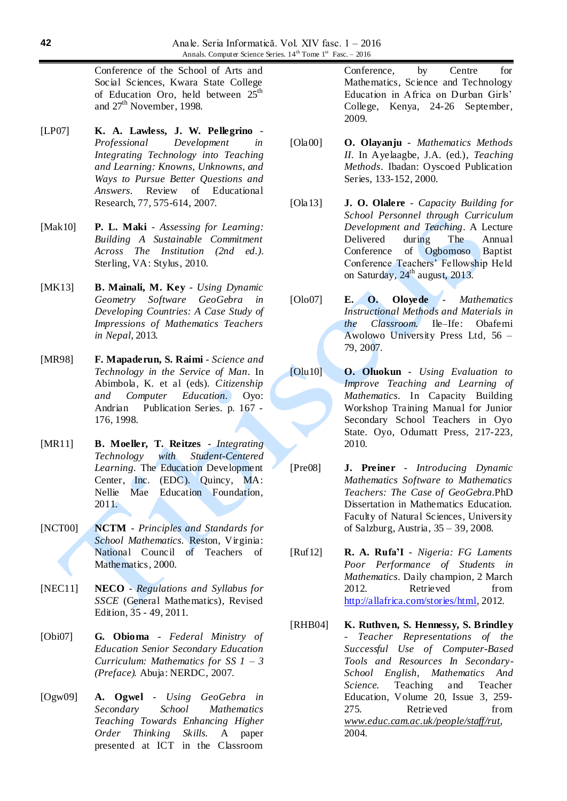Conference of the School of Arts and Social Sciences, Kwara State College of Education Oro, held between  $25<sup>th</sup>$ and  $27<sup>th</sup>$  November, 1998.

- [LP07] **K. A. Lawless, J. W. Pellegrino** *Professional Development in Integrating Technology into Teaching and Learning: Knowns, Unknowns, and Ways to Pursue Better Questions and Answers.* Review of Educational Research, 77, 575-614, 2007*.*
- [Mak10] **P. L. Maki** *Assessing for Learning: Building A Sustainable Commitment Across The Institution (2nd ed.)*. Sterling, VA: Stylus, 2010.
- [MK13] **B. Mainali, M. Key** *Using Dynamic Geometry Software GeoGebra in Developing Countries: A Case Study of Impressions of Mathematics Teachers in Nepal*, 2013*.*
- [MR98] **F. Mapaderun, S. Raimi** *Science and Technology in the Service of Man*. In Abimbola, K. et al (eds). *Citizenship and Computer Education.* Oyo: Andrian Publication Series. p. 167 - 176, 1998.
- [MR11] **B. Moeller, T. Reitzes** *Integrating Technology with Student-Centered Learning.* The Education Development Center, Inc. (EDC). Quincy, MA: Nellie Mae Education Foundation, 2011.
- [NCT00] **NCTM** *Principles and Standards for School Mathematics.* Reston, Virginia: National Council of Teachers of Mathematics, 2000.
- [NEC11] **NECO** *Regulations and Syllabus for SSCE* (General Mathematics), Revised Edition, 35 - 49, 2011.
- [Obi07] **G. Obioma** *Federal Ministry of Education Senior Secondary Education Curriculum: Mathematics for SS 1 – 3 (Preface).* Abuja: NERDC, 2007.
- [Ogw09] **A. Ogwel** *Using GeoGebra in Secondary School Mathematics Teaching Towards Enhancing Higher Order Thinking Skills.* A paper presented at ICT in the Classroom

Conference, by Centre for Mathematics, Science and Technology Education in Africa on Durban Girls' College, Kenya, 24-26 September, 2009.

- [Ola00] **O. Olayanju** *Mathematics Methods II*. In Ayelaagbe, J.A. (ed.), *Teaching Methods*. Ibadan: Oyscoed Publication Series, 133-152, 2000.
- [Ola13] **J. O. Olalere** *Capacity Building for School Personnel through Curriculum Development and Teaching*. A Lecture Delivered during The Annual Conference of Ogbomoso Baptist Conference Teachers' Fellowship Held on Saturday,  $24^{\text{th}}$  august,  $2013$ .
- [Olo07] **E. O. Oloyede** *Mathematics Instructional Methods and Materials in the Classroom.* Ile–Ife: Obafemi Awolowo University Press Ltd, 56 – 79, 2007.
- [Olu10] **O. Oluokun** *Using Evaluation to Improve Teaching and Learning of Mathematics*. In Capacity Building Workshop Training Manual for Junior Secondary School Teachers in Oyo State. Oyo, Odumatt Press, 217-223, 2010.
- [Pre08] **J. Preiner** *Introducing Dynamic Mathematics Software to Mathematics Teachers: The Case of GeoGebra.*PhD Dissertation in Mathematics Education. Faculty of Natural Sciences, University of Salzburg, Austria, 35 – 39, 2008.
- [Ruf12] **R. A. Rufa'I**  *Nigeria: FG Laments Poor Performance of Students in Mathematics*. Daily champion, 2 March 2012. Retrieved from [http://allafrica.com/stories/html,](http://allafrica.com/stories/html) 2012.
- [RHB04] **K. Ruthven, S. Hennessy, S. Brindley** - *Teacher Representations of the Successful Use of Computer-Based Tools and Resources In Secondary-School English, Mathematics And Science*. Teaching and Teacher Education, Volume 20, Issue 3, 259- 275. Retrieved from *[www.educ.cam.ac.uk/people/staff/rut,](http://www.educ.cam.ac.uk/people/staff/rut)*  2004.